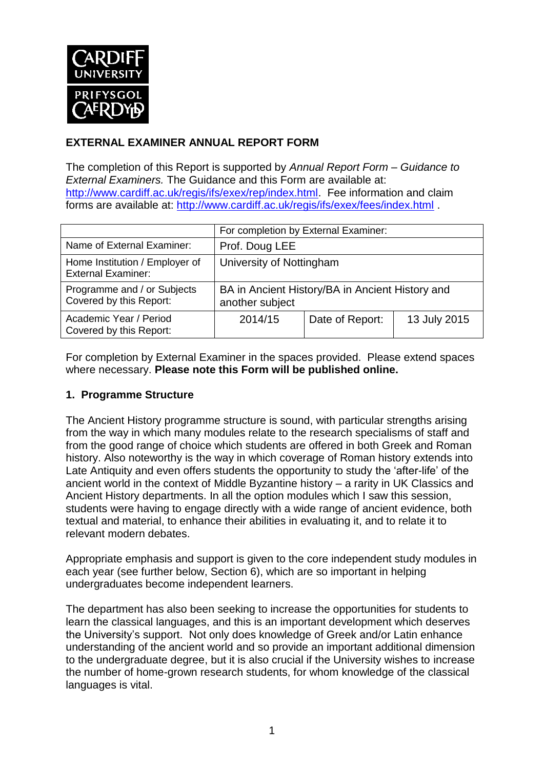

## **EXTERNAL EXAMINER ANNUAL REPORT FORM**

The completion of this Report is supported by *Annual Report Form – Guidance to External Examiners.* The Guidance and this Form are available at: <http://www.cardiff.ac.uk/regis/ifs/exex/rep/index.html>. Fee information and claim forms are available at: <http://www.cardiff.ac.uk/regis/ifs/exex/fees/index.html> .

|                                                             | For completion by External Examiner:                               |                 |              |  |  |
|-------------------------------------------------------------|--------------------------------------------------------------------|-----------------|--------------|--|--|
| Name of External Examiner:                                  | Prof. Doug LEE                                                     |                 |              |  |  |
| Home Institution / Employer of<br><b>External Examiner:</b> | University of Nottingham                                           |                 |              |  |  |
| Programme and / or Subjects<br>Covered by this Report:      | BA in Ancient History/BA in Ancient History and<br>another subject |                 |              |  |  |
| Academic Year / Period<br>Covered by this Report:           | 2014/15                                                            | Date of Report: | 13 July 2015 |  |  |

For completion by External Examiner in the spaces provided. Please extend spaces where necessary. **Please note this Form will be published online.**

## **1. Programme Structure**

The Ancient History programme structure is sound, with particular strengths arising from the way in which many modules relate to the research specialisms of staff and from the good range of choice which students are offered in both Greek and Roman history. Also noteworthy is the way in which coverage of Roman history extends into Late Antiquity and even offers students the opportunity to study the 'after-life' of the ancient world in the context of Middle Byzantine history – a rarity in UK Classics and Ancient History departments. In all the option modules which I saw this session, students were having to engage directly with a wide range of ancient evidence, both textual and material, to enhance their abilities in evaluating it, and to relate it to relevant modern debates.

Appropriate emphasis and support is given to the core independent study modules in each year (see further below, Section 6), which are so important in helping undergraduates become independent learners.

The department has also been seeking to increase the opportunities for students to learn the classical languages, and this is an important development which deserves the University's support. Not only does knowledge of Greek and/or Latin enhance understanding of the ancient world and so provide an important additional dimension to the undergraduate degree, but it is also crucial if the University wishes to increase the number of home-grown research students, for whom knowledge of the classical languages is vital.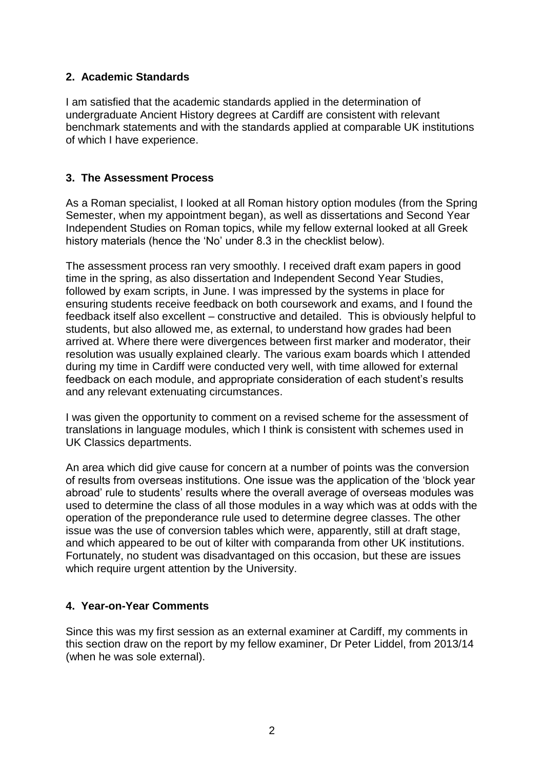## **2. Academic Standards**

I am satisfied that the academic standards applied in the determination of undergraduate Ancient History degrees at Cardiff are consistent with relevant benchmark statements and with the standards applied at comparable UK institutions of which I have experience.

#### **3. The Assessment Process**

As a Roman specialist, I looked at all Roman history option modules (from the Spring Semester, when my appointment began), as well as dissertations and Second Year Independent Studies on Roman topics, while my fellow external looked at all Greek history materials (hence the 'No' under 8.3 in the checklist below).

The assessment process ran very smoothly. I received draft exam papers in good time in the spring, as also dissertation and Independent Second Year Studies, followed by exam scripts, in June. I was impressed by the systems in place for ensuring students receive feedback on both coursework and exams, and I found the feedback itself also excellent – constructive and detailed. This is obviously helpful to students, but also allowed me, as external, to understand how grades had been arrived at. Where there were divergences between first marker and moderator, their resolution was usually explained clearly. The various exam boards which I attended during my time in Cardiff were conducted very well, with time allowed for external feedback on each module, and appropriate consideration of each student's results and any relevant extenuating circumstances.

I was given the opportunity to comment on a revised scheme for the assessment of translations in language modules, which I think is consistent with schemes used in UK Classics departments.

An area which did give cause for concern at a number of points was the conversion of results from overseas institutions. One issue was the application of the 'block year abroad' rule to students' results where the overall average of overseas modules was used to determine the class of all those modules in a way which was at odds with the operation of the preponderance rule used to determine degree classes. The other issue was the use of conversion tables which were, apparently, still at draft stage, and which appeared to be out of kilter with comparanda from other UK institutions. Fortunately, no student was disadvantaged on this occasion, but these are issues which require urgent attention by the University.

## **4. Year-on-Year Comments**

Since this was my first session as an external examiner at Cardiff, my comments in this section draw on the report by my fellow examiner, Dr Peter Liddel, from 2013/14 (when he was sole external).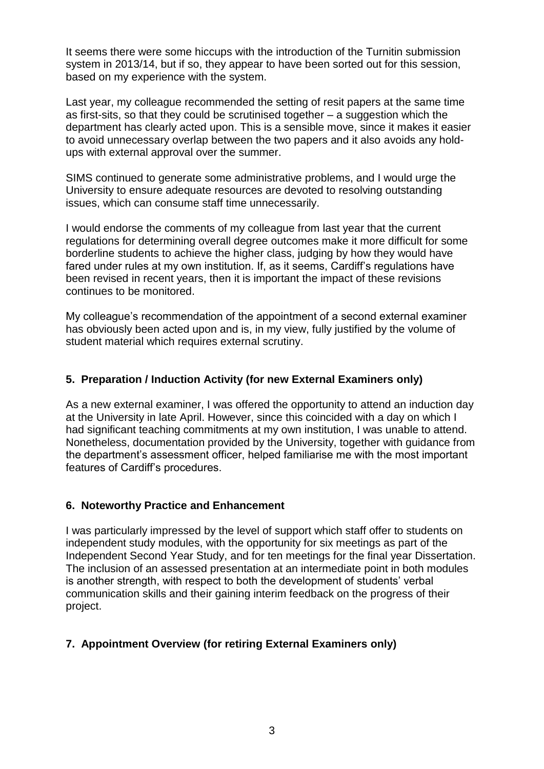It seems there were some hiccups with the introduction of the Turnitin submission system in 2013/14, but if so, they appear to have been sorted out for this session, based on my experience with the system.

Last year, my colleague recommended the setting of resit papers at the same time as first-sits, so that they could be scrutinised together – a suggestion which the department has clearly acted upon. This is a sensible move, since it makes it easier to avoid unnecessary overlap between the two papers and it also avoids any holdups with external approval over the summer.

SIMS continued to generate some administrative problems, and I would urge the University to ensure adequate resources are devoted to resolving outstanding issues, which can consume staff time unnecessarily.

I would endorse the comments of my colleague from last year that the current regulations for determining overall degree outcomes make it more difficult for some borderline students to achieve the higher class, judging by how they would have fared under rules at my own institution. If, as it seems, Cardiff's regulations have been revised in recent years, then it is important the impact of these revisions continues to be monitored.

My colleague's recommendation of the appointment of a second external examiner has obviously been acted upon and is, in my view, fully justified by the volume of student material which requires external scrutiny.

#### **5. Preparation / Induction Activity (for new External Examiners only)**

As a new external examiner, I was offered the opportunity to attend an induction day at the University in late April. However, since this coincided with a day on which I had significant teaching commitments at my own institution, I was unable to attend. Nonetheless, documentation provided by the University, together with guidance from the department's assessment officer, helped familiarise me with the most important features of Cardiff's procedures.

#### **6. Noteworthy Practice and Enhancement**

I was particularly impressed by the level of support which staff offer to students on independent study modules, with the opportunity for six meetings as part of the Independent Second Year Study, and for ten meetings for the final year Dissertation. The inclusion of an assessed presentation at an intermediate point in both modules is another strength, with respect to both the development of students' verbal communication skills and their gaining interim feedback on the progress of their project.

## **7. Appointment Overview (for retiring External Examiners only)**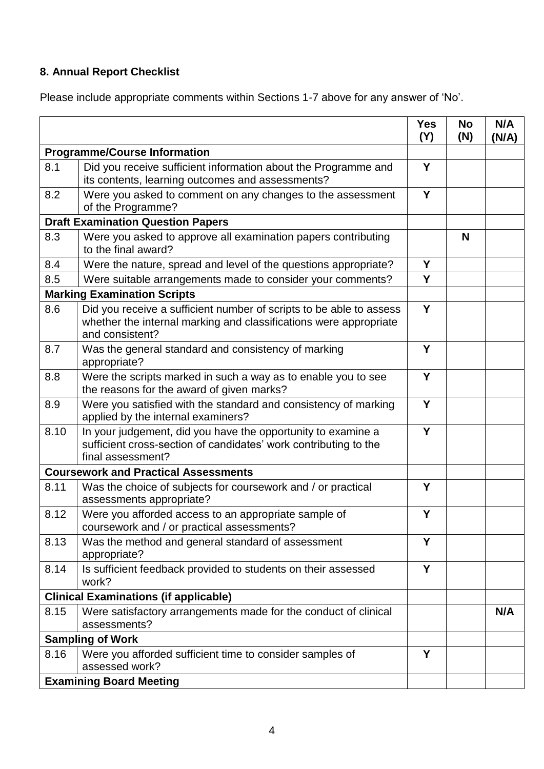# **8. Annual Report Checklist**

Please include appropriate comments within Sections 1-7 above for any answer of 'No'.

|                                          |                                                                                                                                                             | <b>Yes</b><br>(Y) | <b>No</b><br>(N) | N/A<br>(N/A) |  |
|------------------------------------------|-------------------------------------------------------------------------------------------------------------------------------------------------------------|-------------------|------------------|--------------|--|
| <b>Programme/Course Information</b>      |                                                                                                                                                             |                   |                  |              |  |
| 8.1                                      | Did you receive sufficient information about the Programme and<br>its contents, learning outcomes and assessments?                                          | Y                 |                  |              |  |
| 8.2                                      | Were you asked to comment on any changes to the assessment<br>of the Programme?                                                                             | Y                 |                  |              |  |
| <b>Draft Examination Question Papers</b> |                                                                                                                                                             |                   |                  |              |  |
| 8.3                                      | Were you asked to approve all examination papers contributing<br>to the final award?                                                                        |                   | N                |              |  |
| 8.4                                      | Were the nature, spread and level of the questions appropriate?                                                                                             | Y                 |                  |              |  |
| 8.5                                      | Were suitable arrangements made to consider your comments?                                                                                                  | Y                 |                  |              |  |
|                                          | <b>Marking Examination Scripts</b>                                                                                                                          |                   |                  |              |  |
| 8.6                                      | Did you receive a sufficient number of scripts to be able to assess<br>whether the internal marking and classifications were appropriate<br>and consistent? | Y                 |                  |              |  |
| 8.7                                      | Was the general standard and consistency of marking<br>appropriate?                                                                                         | Y                 |                  |              |  |
| 8.8                                      | Were the scripts marked in such a way as to enable you to see<br>the reasons for the award of given marks?                                                  | Y                 |                  |              |  |
| 8.9                                      | Were you satisfied with the standard and consistency of marking<br>applied by the internal examiners?                                                       | Y                 |                  |              |  |
| 8.10                                     | In your judgement, did you have the opportunity to examine a<br>sufficient cross-section of candidates' work contributing to the<br>final assessment?       | Y                 |                  |              |  |
|                                          | <b>Coursework and Practical Assessments</b>                                                                                                                 |                   |                  |              |  |
| 8.11                                     | Was the choice of subjects for coursework and / or practical<br>assessments appropriate?                                                                    | Y                 |                  |              |  |
| 8.12                                     | Were you afforded access to an appropriate sample of<br>coursework and / or practical assessments?                                                          | Y                 |                  |              |  |
| 8.13                                     | Was the method and general standard of assessment<br>appropriate?                                                                                           | Y                 |                  |              |  |
| 8.14                                     | Is sufficient feedback provided to students on their assessed<br>work?                                                                                      | Y                 |                  |              |  |
|                                          | <b>Clinical Examinations (if applicable)</b>                                                                                                                |                   |                  |              |  |
| 8.15                                     | Were satisfactory arrangements made for the conduct of clinical<br>assessments?                                                                             |                   |                  | N/A          |  |
| <b>Sampling of Work</b>                  |                                                                                                                                                             |                   |                  |              |  |
| 8.16                                     | Were you afforded sufficient time to consider samples of<br>assessed work?                                                                                  | Y                 |                  |              |  |
| <b>Examining Board Meeting</b>           |                                                                                                                                                             |                   |                  |              |  |